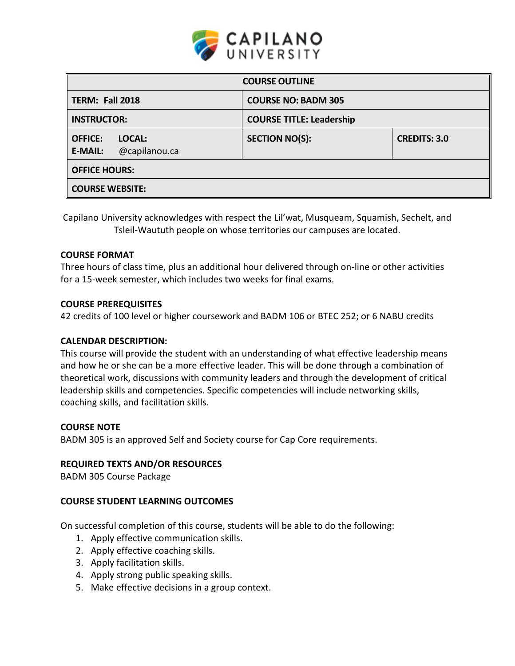

| <b>COURSE OUTLINE</b>                                       |                                 |                     |  |  |  |
|-------------------------------------------------------------|---------------------------------|---------------------|--|--|--|
| TERM: Fall 2018                                             | <b>COURSE NO: BADM 305</b>      |                     |  |  |  |
| <b>INSTRUCTOR:</b>                                          | <b>COURSE TITLE: Leadership</b> |                     |  |  |  |
| <b>OFFICE:</b><br>LOCAL:<br><b>E-MAIL:</b><br>@capilanou.ca | <b>SECTION NO(S):</b>           | <b>CREDITS: 3.0</b> |  |  |  |
| <b>OFFICE HOURS:</b>                                        |                                 |                     |  |  |  |
| <b>COURSE WEBSITE:</b>                                      |                                 |                     |  |  |  |

Capilano University acknowledges with respect the Lil'wat, Musqueam, Squamish, Sechelt, and Tsleil-Waututh people on whose territories our campuses are located.

### **COURSE FORMAT**

Three hours of class time, plus an additional hour delivered through on-line or other activities for a 15-week semester, which includes two weeks for final exams.

#### **COURSE PREREQUISITES**

42 credits of 100 level or higher coursework and BADM 106 or BTEC 252; or 6 NABU credits

#### **CALENDAR DESCRIPTION:**

This course will provide the student with an understanding of what effective leadership means and how he or she can be a more effective leader. This will be done through a combination of theoretical work, discussions with community leaders and through the development of critical leadership skills and competencies. Specific competencies will include networking skills, coaching skills, and facilitation skills.

#### **COURSE NOTE**

BADM 305 is an approved Self and Society course for Cap Core requirements.

#### **REQUIRED TEXTS AND/OR RESOURCES**

BADM 305 Course Package

#### **COURSE STUDENT LEARNING OUTCOMES**

On successful completion of this course, students will be able to do the following:

- 1. Apply effective communication skills.
- 2. Apply effective coaching skills.
- 3. Apply facilitation skills.
- 4. Apply strong public speaking skills.
- 5. Make effective decisions in a group context.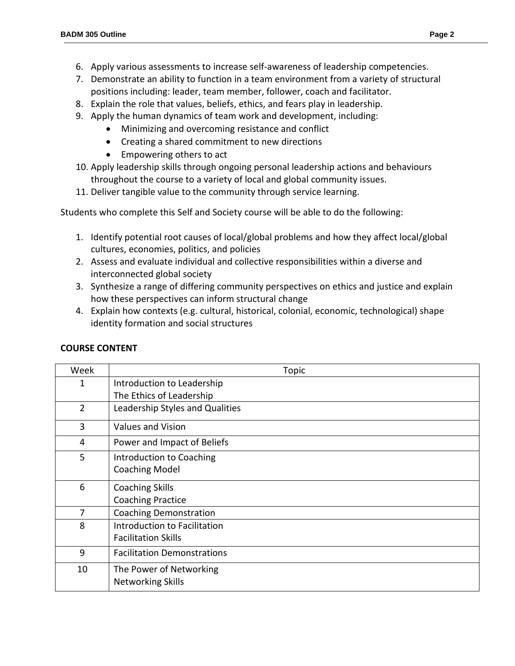- 7. Demonstrate an ability to function in a team environment from a variety of structural positions including: leader, team member, follower, coach and facilitator.
- 8. Explain the role that values, beliefs, ethics, and fears play in leadership.
- 9. Apply the human dynamics of team work and development, including:
	- Minimizing and overcoming resistance and conflict
	- Creating a shared commitment to new directions
	- Empowering others to act
- 10. Apply leadership skills through ongoing personal leadership actions and behaviours throughout the course to a variety of local and global community issues.
- 11. Deliver tangible value to the community through service learning.

Students who complete this Self and Society course will be able to do the following:

- 1. Identify potential root causes of local/global problems and how they affect local/global cultures, economies, politics, and policies
- 2. Assess and evaluate individual and collective responsibilities within a diverse and interconnected global society
- 3. Synthesize a range of differing community perspectives on ethics and justice and explain how these perspectives can inform structural change
- 4. Explain how contexts (e.g. cultural, historical, colonial, economic, technological) shape identity formation and social structures

| Week           | Topic                              |  |  |
|----------------|------------------------------------|--|--|
| 1              | Introduction to Leadership         |  |  |
|                | The Ethics of Leadership           |  |  |
| $\overline{2}$ | Leadership Styles and Qualities    |  |  |
| 3              | <b>Values and Vision</b>           |  |  |
| 4              | Power and Impact of Beliefs        |  |  |
| 5              | Introduction to Coaching           |  |  |
|                | <b>Coaching Model</b>              |  |  |
| 6              | <b>Coaching Skills</b>             |  |  |
|                | <b>Coaching Practice</b>           |  |  |
| 7              | <b>Coaching Demonstration</b>      |  |  |
| 8              | Introduction to Facilitation       |  |  |
|                | <b>Facilitation Skills</b>         |  |  |
| 9              | <b>Facilitation Demonstrations</b> |  |  |
| 10             | The Power of Networking            |  |  |
|                | <b>Networking Skills</b>           |  |  |

## **COURSE CONTENT**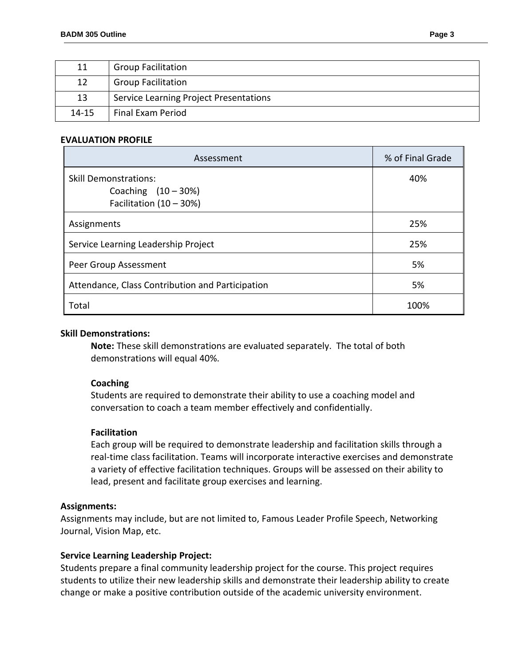| 11        | <b>Group Facilitation</b>              |
|-----------|----------------------------------------|
| 12        | <b>Group Facilitation</b>              |
| 13        | Service Learning Project Presentations |
| $14 - 15$ | <b>Final Exam Period</b>               |

#### **EVALUATION PROFILE**

| Assessment                                                                       | % of Final Grade |
|----------------------------------------------------------------------------------|------------------|
| <b>Skill Demonstrations:</b><br>Coaching $(10-30%)$<br>Facilitation $(10 - 30%)$ | 40%              |
| Assignments                                                                      | 25%              |
| Service Learning Leadership Project                                              | 25%              |
| Peer Group Assessment                                                            | 5%               |
| Attendance, Class Contribution and Participation                                 | 5%               |
| Total                                                                            | 100%             |

#### **Skill Demonstrations:**

**Note:** These skill demonstrations are evaluated separately. The total of both demonstrations will equal 40%.

#### **Coaching**

Students are required to demonstrate their ability to use a coaching model and conversation to coach a team member effectively and confidentially.

#### **Facilitation**

Each group will be required to demonstrate leadership and facilitation skills through a real-time class facilitation. Teams will incorporate interactive exercises and demonstrate a variety of effective facilitation techniques. Groups will be assessed on their ability to lead, present and facilitate group exercises and learning.

#### **Assignments:**

Assignments may include, but are not limited to, Famous Leader Profile Speech, Networking Journal, Vision Map, etc.

#### **Service Learning Leadership Project:**

Students prepare a final community leadership project for the course. This project requires students to utilize their new leadership skills and demonstrate their leadership ability to create change or make a positive contribution outside of the academic university environment.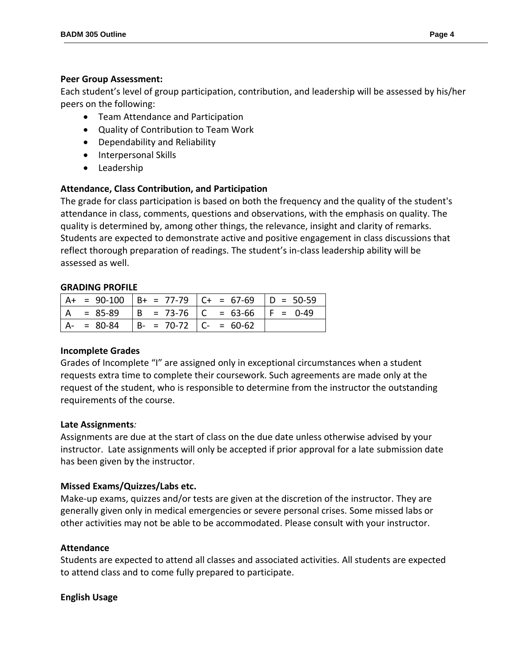### **Peer Group Assessment:**

Each student's level of group participation, contribution, and leadership will be assessed by his/her peers on the following:

- Team Attendance and Participation
- Quality of Contribution to Team Work
- Dependability and Reliability
- Interpersonal Skills
- Leadership

## **Attendance, Class Contribution, and Participation**

The grade for class participation is based on both the frequency and the quality of the student's attendance in class, comments, questions and observations, with the emphasis on quality. The quality is determined by, among other things, the relevance, insight and clarity of remarks. Students are expected to demonstrate active and positive engagement in class discussions that reflect thorough preparation of readings. The student's in-class leadership ability will be assessed as well.

## **GRADING PROFILE**

|               |                          | $A+ = 90-100$ $B+ = 77-79$ $C+ = 67-69$ $D = 50-59$ |  |
|---------------|--------------------------|-----------------------------------------------------|--|
|               |                          | $ A = 85-89$ $ B = 73-76$ $ C = 63-66$ $ F = 0-49$  |  |
| $A - = 80-84$ | $ B- = 70-72 C- = 60-62$ |                                                     |  |

## **Incomplete Grades**

Grades of Incomplete "I" are assigned only in exceptional circumstances when a student requests extra time to complete their coursework. Such agreements are made only at the request of the student, who is responsible to determine from the instructor the outstanding requirements of the course.

## **Late Assignments***:*

Assignments are due at the start of class on the due date unless otherwise advised by your instructor. Late assignments will only be accepted if prior approval for a late submission date has been given by the instructor.

# **Missed Exams/Quizzes/Labs etc.**

Make-up exams, quizzes and/or tests are given at the discretion of the instructor. They are generally given only in medical emergencies or severe personal crises. Some missed labs or other activities may not be able to be accommodated. Please consult with your instructor.

# **Attendance**

Students are expected to attend all classes and associated activities. All students are expected to attend class and to come fully prepared to participate.

## **English Usage**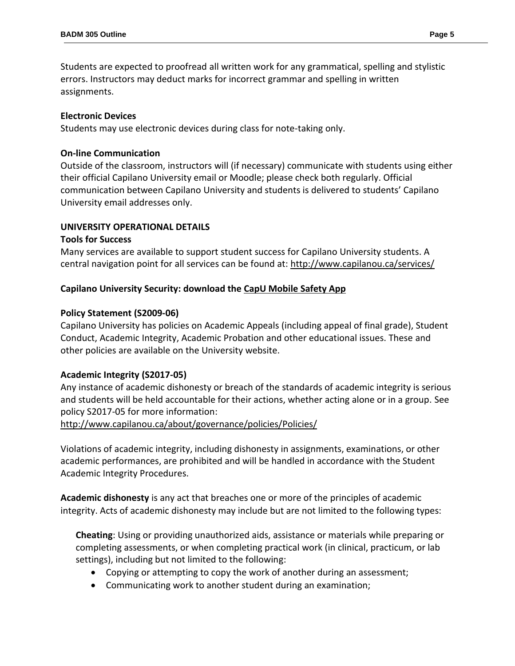Students are expected to proofread all written work for any grammatical, spelling and stylistic errors. Instructors may deduct marks for incorrect grammar and spelling in written assignments.

## **Electronic Devices**

Students may use electronic devices during class for note-taking only.

## **On-line Communication**

Outside of the classroom, instructors will (if necessary) communicate with students using either their official Capilano University email or Moodle; please check both regularly. Official communication between Capilano University and students is delivered to students' Capilano University email addresses only.

## **UNIVERSITY OPERATIONAL DETAILS**

### **Tools for Success**

Many services are available to support student success for Capilano University students. A central navigation point for all services can be found at:<http://www.capilanou.ca/services/>

## **Capilano University Security: download the [CapU Mobile Safety App](https://www.capilanou.ca/services/safety-security/CapU-Mobile-Safety-App/)**

## **Policy Statement (S2009-06)**

Capilano University has policies on Academic Appeals (including appeal of final grade), Student Conduct, Academic Integrity, Academic Probation and other educational issues. These and other policies are available on the University website.

## **Academic Integrity (S2017-05)**

Any instance of academic dishonesty or breach of the standards of academic integrity is serious and students will be held accountable for their actions, whether acting alone or in a group. See policy S2017-05 for more information:

<http://www.capilanou.ca/about/governance/policies/Policies/>

Violations of academic integrity, including dishonesty in assignments, examinations, or other academic performances, are prohibited and will be handled in accordance with the Student Academic Integrity Procedures.

**Academic dishonesty** is any act that breaches one or more of the principles of academic integrity. Acts of academic dishonesty may include but are not limited to the following types:

**Cheating**: Using or providing unauthorized aids, assistance or materials while preparing or completing assessments, or when completing practical work (in clinical, practicum, or lab settings), including but not limited to the following:

- Copying or attempting to copy the work of another during an assessment;
- Communicating work to another student during an examination;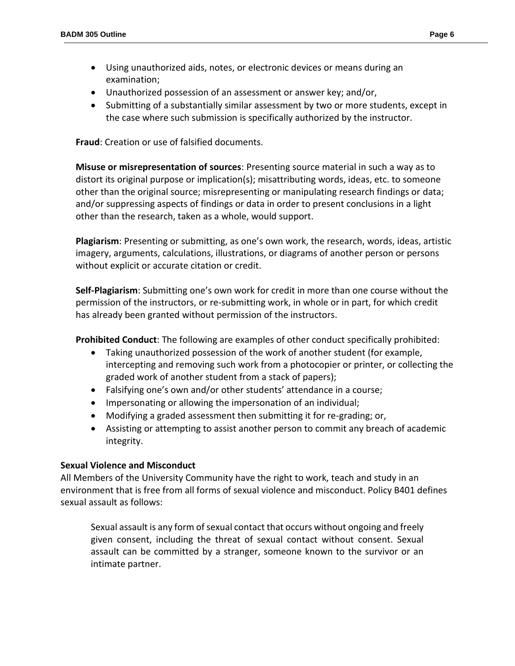- Using unauthorized aids, notes, or electronic devices or means during an examination;
- Unauthorized possession of an assessment or answer key; and/or,
- Submitting of a substantially similar assessment by two or more students, except in the case where such submission is specifically authorized by the instructor.

**Fraud**: Creation or use of falsified documents.

**Misuse or misrepresentation of sources**: Presenting source material in such a way as to distort its original purpose or implication(s); misattributing words, ideas, etc. to someone other than the original source; misrepresenting or manipulating research findings or data; and/or suppressing aspects of findings or data in order to present conclusions in a light other than the research, taken as a whole, would support.

**Plagiarism**: Presenting or submitting, as one's own work, the research, words, ideas, artistic imagery, arguments, calculations, illustrations, or diagrams of another person or persons without explicit or accurate citation or credit.

**Self-Plagiarism**: Submitting one's own work for credit in more than one course without the permission of the instructors, or re-submitting work, in whole or in part, for which credit has already been granted without permission of the instructors.

**Prohibited Conduct**: The following are examples of other conduct specifically prohibited:

- Taking unauthorized possession of the work of another student (for example, intercepting and removing such work from a photocopier or printer, or collecting the graded work of another student from a stack of papers);
- Falsifying one's own and/or other students' attendance in a course;
- Impersonating or allowing the impersonation of an individual;
- Modifying a graded assessment then submitting it for re-grading; or,
- Assisting or attempting to assist another person to commit any breach of academic integrity.

## **Sexual Violence and Misconduct**

All Members of the University Community have the right to work, teach and study in an environment that is free from all forms of sexual violence and misconduct. Policy B401 defines sexual assault as follows:

Sexual assault is any form of sexual contact that occurs without ongoing and freely given consent, including the threat of sexual contact without consent. Sexual assault can be committed by a stranger, someone known to the survivor or an intimate partner.